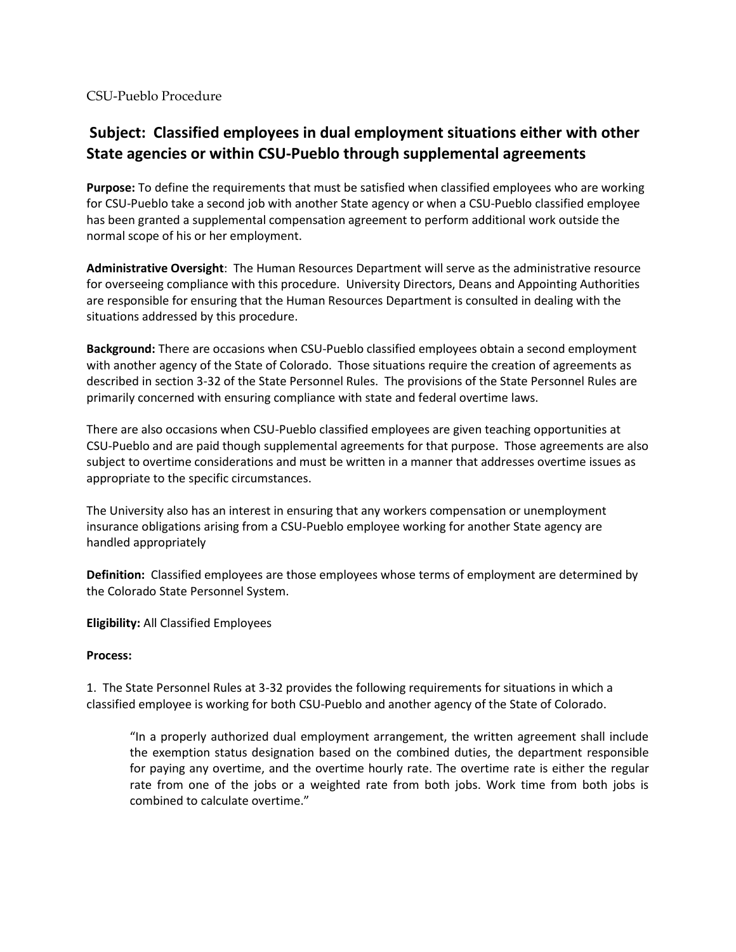CSU-Pueblo Procedure

## **Subject: Classified employees in dual employment situations either with other State agencies or within CSU-Pueblo through supplemental agreements**

**Purpose:** To define the requirements that must be satisfied when classified employees who are working for CSU-Pueblo take a second job with another State agency or when a CSU-Pueblo classified employee has been granted a supplemental compensation agreement to perform additional work outside the normal scope of his or her employment.

**Administrative Oversight**: The Human Resources Department will serve as the administrative resource for overseeing compliance with this procedure. University Directors, Deans and Appointing Authorities are responsible for ensuring that the Human Resources Department is consulted in dealing with the situations addressed by this procedure.

**Background:** There are occasions when CSU-Pueblo classified employees obtain a second employment with another agency of the State of Colorado. Those situations require the creation of agreements as described in section 3-32 of the State Personnel Rules. The provisions of the State Personnel Rules are primarily concerned with ensuring compliance with state and federal overtime laws.

There are also occasions when CSU-Pueblo classified employees are given teaching opportunities at CSU-Pueblo and are paid though supplemental agreements for that purpose. Those agreements are also subject to overtime considerations and must be written in a manner that addresses overtime issues as appropriate to the specific circumstances.

The University also has an interest in ensuring that any workers compensation or unemployment insurance obligations arising from a CSU-Pueblo employee working for another State agency are handled appropriately

**Definition:** Classified employees are those employees whose terms of employment are determined by the Colorado State Personnel System.

**Eligibility:** All Classified Employees

## **Process:**

1. The State Personnel Rules at 3-32 provides the following requirements for situations in which a classified employee is working for both CSU-Pueblo and another agency of the State of Colorado.

"In a properly authorized dual employment arrangement, the written agreement shall include the exemption status designation based on the combined duties, the department responsible for paying any overtime, and the overtime hourly rate. The overtime rate is either the regular rate from one of the jobs or a weighted rate from both jobs. Work time from both jobs is combined to calculate overtime."